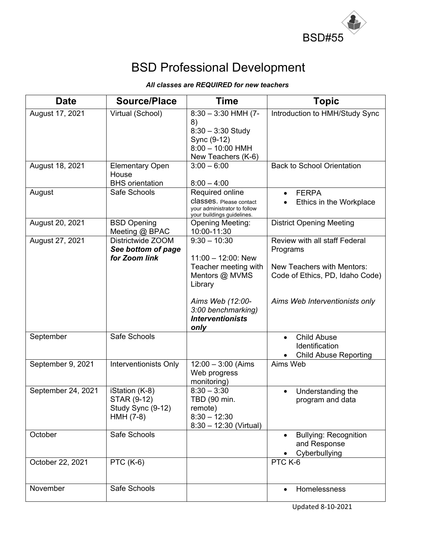

## BSD Professional Development

## *All classes are REQUIRED for new teachers*

| <b>Date</b>        | <b>Source/Place</b>                                             | <b>Time</b>                                                                                                                                                               | <b>Topic</b>                                                                                                                                 |
|--------------------|-----------------------------------------------------------------|---------------------------------------------------------------------------------------------------------------------------------------------------------------------------|----------------------------------------------------------------------------------------------------------------------------------------------|
| August 17, 2021    | Virtual (School)                                                | $8:30 - 3:30$ HMH (7-<br>8)<br>$8:30 - 3:30$ Study<br>Sync (9-12)<br>$8:00 - 10:00$ HMH<br>New Teachers (K-6)                                                             | Introduction to HMH/Study Sync                                                                                                               |
| August 18, 2021    | <b>Elementary Open</b><br>House<br><b>BHS</b> orientation       | $3:00 - 6:00$<br>$8:00 - 4:00$                                                                                                                                            | <b>Back to School Orientation</b>                                                                                                            |
| August             | Safe Schools                                                    | Required online<br>classes. Please contact<br>your administrator to follow<br>your buildings guidelines.                                                                  | <b>FERPA</b><br>$\bullet$<br>Ethics in the Workplace                                                                                         |
| August 20, 2021    | <b>BSD Opening</b><br>Meeting @ BPAC                            | <b>Opening Meeting:</b><br>10:00-11:30                                                                                                                                    | <b>District Opening Meeting</b>                                                                                                              |
| August 27, 2021    | Districtwide ZOOM<br>See bottom of page<br>for Zoom link        | $9:30 - 10:30$<br>$11:00 - 12:00$ : New<br>Teacher meeting with<br>Mentors @ MVMS<br>Library<br>Aims Web (12:00-<br>3:00 benchmarking)<br><b>Interventionists</b><br>only | Review with all staff Federal<br>Programs<br>New Teachers with Mentors:<br>Code of Ethics, PD, Idaho Code)<br>Aims Web Interventionists only |
| September          | Safe Schools                                                    |                                                                                                                                                                           | <b>Child Abuse</b><br>$\bullet$<br>Identification<br><b>Child Abuse Reporting</b>                                                            |
| September 9, 2021  | Interventionists Only                                           | $12:00 - 3:00$ (Aims<br>Web progress<br>monitoring)                                                                                                                       | Aims Web                                                                                                                                     |
| September 24, 2021 | iStation (K-8)<br>STAR (9-12)<br>Study Sync (9-12)<br>HMH (7-8) | $8:30 - 3:30$<br>TBD (90 min.<br>remote)<br>$8:30 - 12:30$<br>$8:30 - 12:30$ (Virtual)                                                                                    | Understanding the<br>program and data                                                                                                        |
| October            | Safe Schools                                                    |                                                                                                                                                                           | <b>Bullying: Recognition</b><br>and Response<br>Cyberbullying                                                                                |
| October 22, 2021   | <b>PTC (K-6)</b>                                                |                                                                                                                                                                           | PTC K-6                                                                                                                                      |
| November           | Safe Schools                                                    |                                                                                                                                                                           | Homelessness<br>$\bullet$                                                                                                                    |

Updated 8-10-2021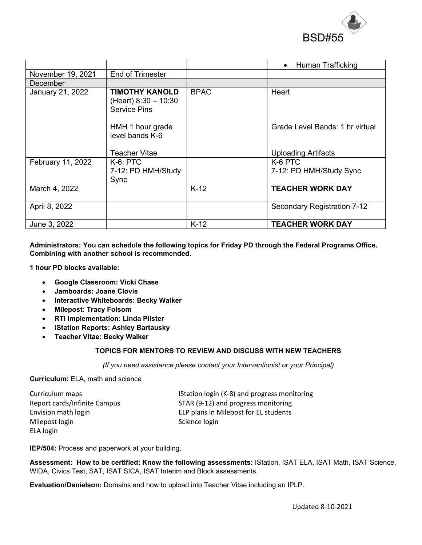

|                   |                                                                        |             | Human Trafficking<br>$\bullet$     |
|-------------------|------------------------------------------------------------------------|-------------|------------------------------------|
| November 19, 2021 | End of Trimester                                                       |             |                                    |
| December          |                                                                        |             |                                    |
| January 21, 2022  | <b>TIMOTHY KANOLD</b><br>(Heart) $8:30 - 10:30$<br><b>Service Pins</b> | <b>BPAC</b> | Heart                              |
|                   | HMH 1 hour grade<br>level bands K-6                                    |             | Grade Level Bands: 1 hr virtual    |
|                   | <b>Teacher Vitae</b>                                                   |             | <b>Uploading Artifacts</b>         |
| February 11, 2022 | $K-6$ : PTC<br>7-12: PD HMH/Study<br>Sync                              |             | K-6 PTC<br>7-12: PD HMH/Study Sync |
| March 4, 2022     |                                                                        | $K-12$      | <b>TEACHER WORK DAY</b>            |
| April 8, 2022     |                                                                        |             | Secondary Registration 7-12        |
| June 3, 2022      |                                                                        | $K-12$      | <b>TEACHER WORK DAY</b>            |

**Administrators: You can schedule the following topics for Friday PD through the Federal Programs Office. Combining with another school is recommended.**

**1 hour PD blocks available:**

- **Google Classroom: Vicki Chase**
- **Jamboards: Joane Clovis**
- **Interactive Whiteboards: Becky Walker**
- **Milepost: Tracy Folsom**
- **RTI Implementation: Linda Pilster**
- **iStation Reports: Ashley Bartausky**
- **Teacher Vitae: Becky Walker**

## **TOPICS FOR MENTORS TO REVIEW AND DISCUSS WITH NEW TEACHERS**

*(If you need assistance please contact your Interventionist or your Principal)*

**Curriculum:** ELA, math and science

| Curriculum maps              | IStation login (K-8) and progress monitoring |
|------------------------------|----------------------------------------------|
| Report cards/Infinite Campus | STAR (9-12) and progress monitoring          |
| Envision math login          | ELP plans in Milepost for EL students        |
| Milepost login               | Science login                                |
| ELA login                    |                                              |

**IEP/504:** Process and paperwork at your building.

**Assessment: How to be certified: Know the following assessments:** IStation, ISAT ELA, ISAT Math, ISAT Science, WIDA, Civics Test, SAT, ISAT SICA, ISAT Interim and Block assessments.

**Evaluation/Danielson:** Domains and how to upload into Teacher Vitae including an IPLP.